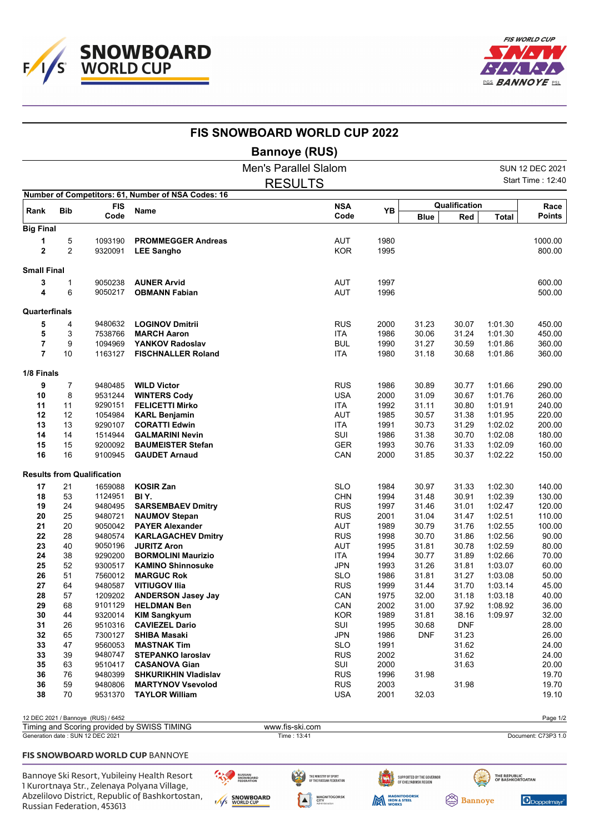



|                     |                     |                                    |                                                    | <b>FIS SNOWBOARD WORLD CUP 2022</b> |                          |              |                |                      |                    |                       |
|---------------------|---------------------|------------------------------------|----------------------------------------------------|-------------------------------------|--------------------------|--------------|----------------|----------------------|--------------------|-----------------------|
|                     |                     |                                    |                                                    | <b>Bannoye (RUS)</b>                |                          |              |                |                      |                    |                       |
|                     |                     |                                    |                                                    | <b>Men's Parallel Slalom</b>        |                          |              |                |                      |                    | SUN 12 DEC 2021       |
|                     |                     |                                    |                                                    | <b>RESULTS</b>                      |                          |              |                |                      |                    | Start Time: 12:40     |
|                     |                     |                                    | Number of Competitors: 61, Number of NSA Codes: 16 |                                     |                          |              |                |                      |                    |                       |
| Rank                | <b>Bib</b>          | <b>FIS</b><br>Code                 | <b>Name</b>                                        |                                     | <b>NSA</b><br>Code       | YB           | <b>Blue</b>    | Qualification<br>Red | <b>Total</b>       | Race<br><b>Points</b> |
| <b>Big Final</b>    |                     |                                    |                                                    |                                     |                          |              |                |                      |                    |                       |
| 1<br>$\overline{2}$ | 5<br>$\overline{2}$ | 1093190<br>9320091                 | <b>PROMMEGGER Andreas</b><br><b>LEE Sangho</b>     |                                     | <b>AUT</b><br><b>KOR</b> | 1980<br>1995 |                |                      |                    | 1000.00<br>800.00     |
| <b>Small Final</b>  |                     |                                    |                                                    |                                     |                          |              |                |                      |                    |                       |
| 3                   | 1                   | 9050238                            | <b>AUNER Arvid</b>                                 |                                     | AUT                      | 1997         |                |                      |                    | 600.00                |
| 4                   | 6                   | 9050217                            | <b>OBMANN Fabian</b>                               |                                     | <b>AUT</b>               | 1996         |                |                      |                    | 500.00                |
| Quarterfinals       |                     |                                    |                                                    |                                     |                          |              |                |                      |                    |                       |
| 5                   | 4                   | 9480632                            | <b>LOGINOV Dmitrii</b>                             |                                     | <b>RUS</b>               | 2000         | 31.23          | 30.07                | 1:01.30            | 450.00                |
| 5                   | 3                   | 7538766                            | <b>MARCH Aaron</b>                                 |                                     | <b>ITA</b>               | 1986         | 30.06          | 31.24                | 1:01.30            | 450.00                |
| 7<br>7              | 9<br>10             | 1094969<br>1163127                 | YANKOV Radoslav<br><b>FISCHNALLER Roland</b>       |                                     | <b>BUL</b><br><b>ITA</b> | 1990<br>1980 | 31.27<br>31.18 | 30.59<br>30.68       | 1:01.86<br>1:01.86 | 360.00<br>360.00      |
| 1/8 Finals          |                     |                                    |                                                    |                                     |                          |              |                |                      |                    |                       |
| 9                   | $\overline{7}$      | 9480485                            | <b>WILD Victor</b>                                 |                                     | <b>RUS</b>               | 1986         | 30.89          | 30.77                | 1:01.66            | 290.00                |
| 10                  | 8                   | 9531244                            | <b>WINTERS Cody</b>                                |                                     | <b>USA</b>               | 2000         | 31.09          | 30.67                | 1:01.76            | 260.00                |
| 11                  | 11                  | 9290151                            | <b>FELICETTI Mirko</b>                             |                                     | <b>ITA</b>               | 1992         | 31.11          | 30.80                | 1:01.91            | 240.00                |
| 12                  | 12                  | 1054984                            | <b>KARL Benjamin</b>                               |                                     | AUT                      | 1985         | 30.57          | 31.38                | 1:01.95            | 220.00                |
| 13                  | 13                  | 9290107                            | <b>CORATTI Edwin</b>                               |                                     | <b>ITA</b>               | 1991         | 30.73          | 31.29                | 1:02.02            | 200.00                |
| 14                  | 14                  | 1514944                            | <b>GALMARINI Nevin</b>                             |                                     | SUI                      | 1986         | 31.38          | 30.70                | 1:02.08            | 180.00                |
| 15                  | 15                  | 9200092                            | <b>BAUMEISTER Stefan</b>                           |                                     | <b>GER</b>               | 1993         | 30.76          | 31.33                | 1:02.09            | 160.00                |
| 16                  | 16                  | 9100945                            | <b>GAUDET Arnaud</b>                               |                                     | CAN                      | 2000         | 31.85          | 30.37                | 1:02.22            | 150.00                |
|                     |                     | <b>Results from Qualification</b>  |                                                    |                                     |                          |              |                |                      |                    |                       |
| 17                  | 21                  | 1659088                            | <b>KOSIR Zan</b>                                   |                                     | <b>SLO</b>               | 1984         | 30.97          | 31.33                | 1:02.30            | 140.00                |
| 18                  | 53                  | 1124951                            | BIY.                                               |                                     | <b>CHN</b>               | 1994         | 31.48          | 30.91                | 1:02.39            | 130.00                |
| 19                  | 24                  | 9480495                            | <b>SARSEMBAEV Dmitry</b>                           |                                     | <b>RUS</b>               | 1997         | 31.46          | 31.01                | 1:02.47            | 120.00                |
| 20                  | 25                  | 9480721                            | <b>NAUMOV Stepan</b>                               |                                     | <b>RUS</b>               | 2001         | 31.04          | 31.47                | 1:02.51            | 110.00                |
| 21                  | 20                  | 9050042                            | <b>PAYER Alexander</b>                             |                                     | <b>AUT</b>               | 1989         | 30.79          | 31.76                | 1:02.55            | 100.00                |
| 22                  | 28                  | 9480574                            | <b>KARLAGACHEV Dmitry</b>                          |                                     | <b>RUS</b>               | 1998         | 30.70          | 31.86                | 1:02.56            | 90.00                 |
| 23                  | 40                  | 9050196                            | <b>JURITZ Aron</b>                                 |                                     | AUT                      | 1995         | 31.81          | 30.78                | 1:02.59            | 80.00                 |
| 24                  | 38                  | 9290200                            | <b>BORMOLINI Maurizio</b>                          |                                     | <b>ITA</b>               | 1994<br>1993 | 30.77<br>31.26 | 31.89                | 1:02.66            | 70.00<br>60.00        |
| 25<br>26            | 52<br>51            | 9300517<br>7560012                 | <b>KAMINO Shinnosuke</b><br><b>MARGUC Rok</b>      |                                     | JPN<br><b>SLO</b>        | 1986         | 31.81          | 31.81<br>31.27       | 1:03.07<br>1:03.08 | 50.00                 |
| 27                  | 64                  | 9480587                            | <b>VITIUGOV IIIa</b>                               |                                     | <b>RUS</b>               | 1999         | 31.44          | 31.70                | 1:03.14            | 45.00                 |
| 28                  | 57                  | 1209202                            | <b>ANDERSON Jasey Jay</b>                          |                                     | CAN                      | 1975         | 32.00          | 31.18                | 1:03.18            | 40.00                 |
| 29                  | 68                  | 9101129                            | <b>HELDMAN Ben</b>                                 |                                     | CAN                      | 2002         | 31.00          | 37.92                | 1:08.92            | 36.00                 |
| 30                  | 44                  | 9320014                            | <b>KIM Sangkyum</b>                                |                                     | <b>KOR</b>               | 1989         | 31.81          | 38.16                | 1:09.97            | 32.00                 |
| 31                  | 26                  | 9510316                            | <b>CAVIEZEL Dario</b>                              |                                     | SUI                      | 1995         | 30.68          | <b>DNF</b>           |                    | 28.00                 |
| 32                  | 65                  | 7300127                            | <b>SHIBA Masaki</b>                                |                                     | <b>JPN</b>               | 1986         | <b>DNF</b>     | 31.23                |                    | 26.00                 |
| 33                  | 47                  | 9560053                            | <b>MASTNAK Tim</b>                                 |                                     | <b>SLO</b>               | 1991         |                | 31.62                |                    | 24.00                 |
| 33                  | 39                  | 9480747                            | <b>STEPANKO laroslav</b>                           |                                     | <b>RUS</b>               | 2002         |                | 31.62                |                    | 24.00                 |
| 35                  | 63                  | 9510417                            | <b>CASANOVA Gian</b>                               |                                     | SUI                      | 2000         |                | 31.63                |                    | 20.00                 |
| 36                  | 76                  | 9480399                            | <b>SHKURIKHIN Vladislav</b>                        |                                     | <b>RUS</b>               | 1996         | 31.98          |                      |                    | 19.70                 |
| 36                  | 59                  | 9480806                            | <b>MARTYNOV Vsevolod</b>                           |                                     | <b>RUS</b>               | 2003         |                | 31.98                |                    | 19.70                 |
| 38                  | 70                  | 9531370                            | <b>TAYLOR William</b>                              |                                     | <b>USA</b>               | 2001         | 32.03          |                      |                    | 19.10                 |
|                     |                     | 12 DEC 2021 / Bannoye (RUS) / 6452 |                                                    |                                     |                          |              |                |                      |                    | Page 1/2              |
|                     |                     |                                    | Timing and Scoring provided by SWISS TIMING        | www.fis-ski.com                     |                          |              |                |                      |                    |                       |
|                     |                     | Generation date: SUN 12 DEC 2021   |                                                    | Time: 13:41                         |                          |              |                |                      |                    | Document: C73P3 1.0   |

## FIS SNOWBOARD WORLD CUP BANNOYE

Bannoye Ski Resort, Yubileiny Health Resort 1 Kurortnaya Str., Zelenaya Polyana Village, Abzelilovo District, Republic of Bashkortostan, Russian Federation, 453613

 $\mathcal{L}_{\mathcal{K}_{\mathcal{J}}}$ RUSSIAN<br>SNOWBOARD<br>FEDERATION E/I/S SNOWBOARD

THE MINISTRY OF SPORT<br>Of the russian federation **MAGNITOGORSK**<br>CITY<br>Administration

 $\blacktriangle$ 

SUPPORTED BY THE GOVERNOR<br>Of Chelyabinsk region

**MAGNITOGORSK** 

 $\circledcirc$ THE REPUBLIC<br>OF BASHKORTOATAN **Bannoye** 

Doppelmayr